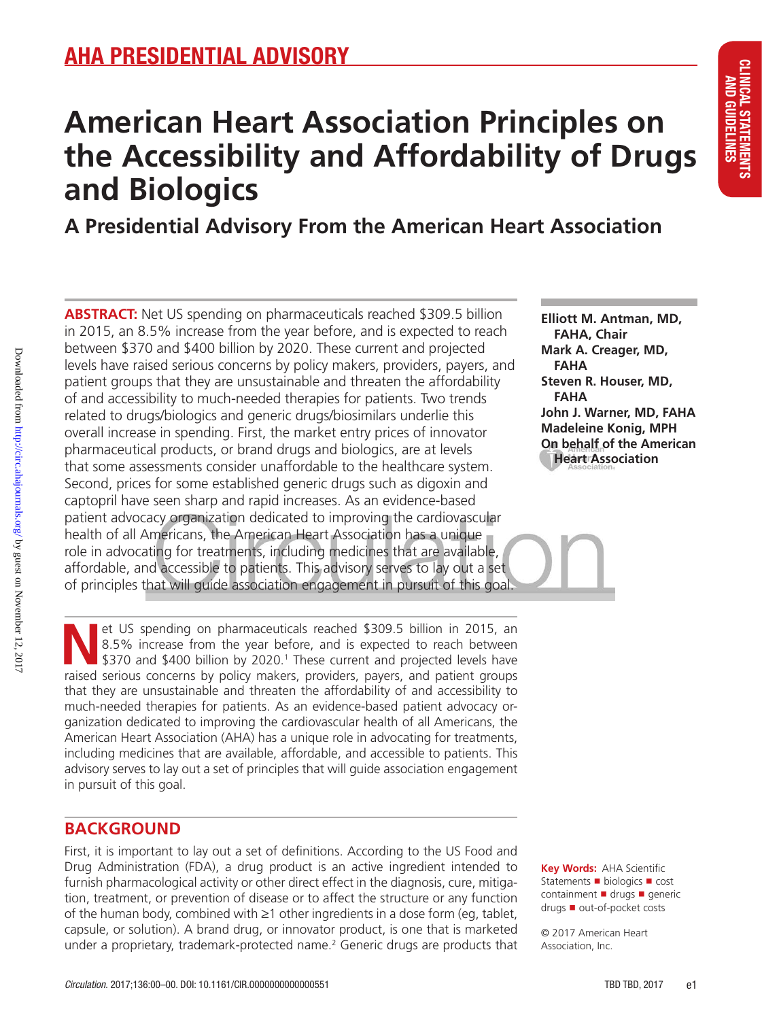# **American Heart Association Principles on the Accessibility and Affordability of Drugs and Biologics**

**A Presidential Advisory From the American Heart Association**

**ABSTRACT:** Net US spending on pharmaceuticals reached \$309.5 billion in 2015, an 8.5% increase from the year before, and is expected to reach between \$370 and \$400 billion by 2020. These current and projected levels have raised serious concerns by policy makers, providers, payers, and patient groups that they are unsustainable and threaten the affordability of and accessibility to much-needed therapies for patients. Two trends related to drugs/biologics and generic drugs/biosimilars underlie this overall increase in spending. First, the market entry prices of innovator pharmaceutical products, or brand drugs and biologics, are at levels that some assessments consider unaffordable to the healthcare system. Second, prices for some established generic drugs such as digoxin and captopril have seen sharp and rapid increases. As an evidence-based patient advocacy organization dedicated to improving the cardiovascular health of all Americans, the American Heart Association has a unique role in advocating for treatments, including medicines that are available, affordable, and accessible to patients. This advisory serves to lay out a set of principles that will guide association engagement in pursuit of this goal.

et US spending on pharmaceuticals reached \$309.5 billion in 2015, an 8.5% increase from the year before, and is expected to reach between \$370 and \$400 billion by 2020.<sup>1</sup> These current and projected levels have 8.5% increase from the year before, and is expected to reach between \$370 and \$400 billion by 2020.<sup>1</sup> These current and projected levels have raised serious concerns by policy makers, providers, payers, and patient groups that they are unsustainable and threaten the affordability of and accessibility to much-needed therapies for patients. As an evidence-based patient advocacy organization dedicated to improving the cardiovascular health of all Americans, the American Heart Association (AHA) has a unique role in advocating for treatments, including medicines that are available, affordable, and accessible to patients. This advisory serves to lay out a set of principles that will guide association engagement in pursuit of this goal.

## **BACKGROUND**

First, it is important to lay out a set of definitions. According to the US Food and Drug Administration (FDA), a drug product is an active ingredient intended to furnish pharmacological activity or other direct effect in the diagnosis, cure, mitigation, treatment, or prevention of disease or to affect the structure or any function of the human body, combined with ≥1 other ingredients in a dose form (eg, tablet, capsule, or solution). A brand drug, or innovator product, is one that is marketed under a proprietary, trademark-protected name.<sup>2</sup> Generic drugs are products that

**Key Words:** AHA Scientific Statements ■ biologics ■ cost containment ■ drugs ■ generic drugs ◼ out-of-pocket costs

© 2017 American Heart Association, Inc.

**FAHA, Chair Mark A. Creager, MD,** 

**Steven R. Houser, MD,** 

**John J. Warner, MD, FAHA Madeleine Konig, MPH On behalf of the American Heart Association**

**FAHA**

**FAHA**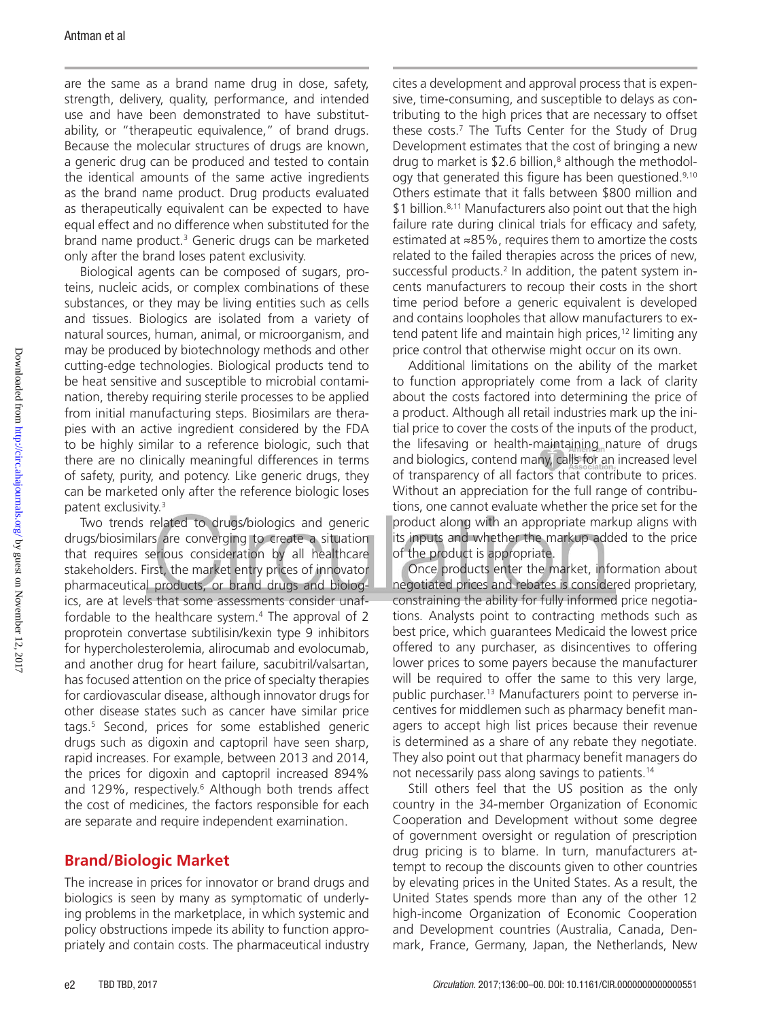are the same as a brand name drug in dose, safety, strength, delivery, quality, performance, and intended use and have been demonstrated to have substitutability, or "therapeutic equivalence," of brand drugs. Because the molecular structures of drugs are known, a generic drug can be produced and tested to contain the identical amounts of the same active ingredients as the brand name product. Drug products evaluated as therapeutically equivalent can be expected to have equal effect and no difference when substituted for the brand name product.3 Generic drugs can be marketed only after the brand loses patent exclusivity.

Biological agents can be composed of sugars, proteins, nucleic acids, or complex combinations of these substances, or they may be living entities such as cells and tissues. Biologics are isolated from a variety of natural sources, human, animal, or microorganism, and may be produced by biotechnology methods and other cutting-edge technologies. Biological products tend to be heat sensitive and susceptible to microbial contamination, thereby requiring sterile processes to be applied from initial manufacturing steps. Biosimilars are therapies with an active ingredient considered by the FDA to be highly similar to a reference biologic, such that there are no clinically meaningful differences in terms of safety, purity, and potency. Like generic drugs, they can be marketed only after the reference biologic loses patent exclusivity.3

Two trends related to drugs/biologics and generic drugs/biosimilars are converging to create a situation that requires serious consideration by all healthcare stakeholders. First, the market entry prices of innovator pharmaceutical products, or brand drugs and biologics, are at levels that some assessments consider unaffordable to the healthcare system.4 The approval of 2 proprotein convertase subtilisin/kexin type 9 inhibitors for hypercholesterolemia, alirocumab and evolocumab, and another drug for heart failure, sacubitril/valsartan, has focused attention on the price of specialty therapies for cardiovascular disease, although innovator drugs for other disease states such as cancer have similar price tags.5 Second, prices for some established generic drugs such as digoxin and captopril have seen sharp, rapid increases. For example, between 2013 and 2014, the prices for digoxin and captopril increased 894% and 129%, respectively.<sup>6</sup> Although both trends affect the cost of medicines, the factors responsible for each are separate and require independent examination.

### **Brand/Biologic Market**

The increase in prices for innovator or brand drugs and biologics is seen by many as symptomatic of underlying problems in the marketplace, in which systemic and policy obstructions impede its ability to function appropriately and contain costs. The pharmaceutical industry

cites a development and approval process that is expensive, time-consuming, and susceptible to delays as contributing to the high prices that are necessary to offset these costs.7 The Tufts Center for the Study of Drug Development estimates that the cost of bringing a new drug to market is \$2.6 billion,<sup>8</sup> although the methodology that generated this figure has been questioned.<sup>9,10</sup> Others estimate that it falls between \$800 million and \$1 billion.<sup>8,11</sup> Manufacturers also point out that the high failure rate during clinical trials for efficacy and safety, estimated at ≈85%, requires them to amortize the costs related to the failed therapies across the prices of new, successful products.<sup>2</sup> In addition, the patent system incents manufacturers to recoup their costs in the short time period before a generic equivalent is developed and contains loopholes that allow manufacturers to extend patent life and maintain high prices,<sup>12</sup> limiting any price control that otherwise might occur on its own.

Additional limitations on the ability of the market to function appropriately come from a lack of clarity about the costs factored into determining the price of a product. Although all retail industries mark up the initial price to cover the costs of the inputs of the product, the lifesaving or health-maintaining nature of drugs and biologics, contend many, calls for an increased level of transparency of all factors that contribute to prices. Without an appreciation for the full range of contributions, one cannot evaluate whether the price set for the product along with an appropriate markup aligns with its inputs and whether the markup added to the price of the product is appropriate.

Once products enter the market, information about negotiated prices and rebates is considered proprietary, constraining the ability for fully informed price negotiations. Analysts point to contracting methods such as best price, which guarantees Medicaid the lowest price offered to any purchaser, as disincentives to offering lower prices to some payers because the manufacturer will be required to offer the same to this very large, public purchaser.<sup>13</sup> Manufacturers point to perverse incentives for middlemen such as pharmacy benefit managers to accept high list prices because their revenue is determined as a share of any rebate they negotiate. They also point out that pharmacy benefit managers do not necessarily pass along savings to patients.14

Still others feel that the US position as the only country in the 34-member Organization of Economic Cooperation and Development without some degree of government oversight or regulation of prescription drug pricing is to blame. In turn, manufacturers attempt to recoup the discounts given to other countries by elevating prices in the United States. As a result, the United States spends more than any of the other 12 high-income Organization of Economic Cooperation and Development countries (Australia, Canada, Denmark, France, Germany, Japan, the Netherlands, New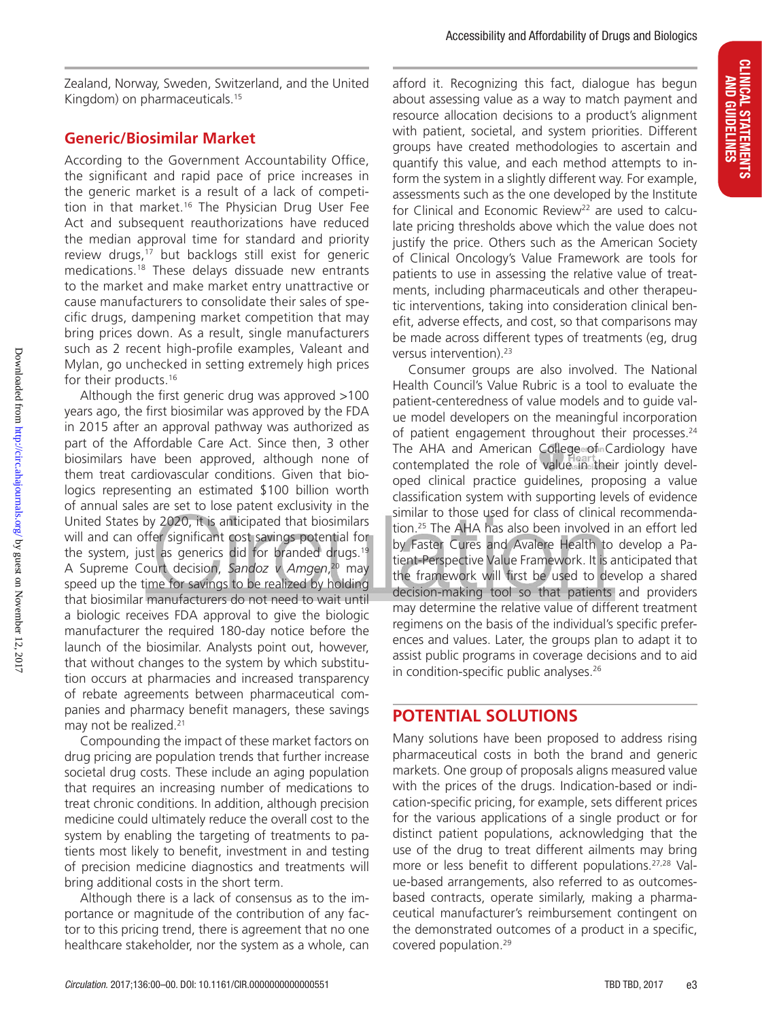Zealand, Norway, Sweden, Switzerland, and the United Kingdom) on pharmaceuticals.15

## **Generic/Biosimilar Market**

According to the Government Accountability Office, the significant and rapid pace of price increases in the generic market is a result of a lack of competition in that market.<sup>16</sup> The Physician Drug User Fee Act and subsequent reauthorizations have reduced the median approval time for standard and priority review drugs,<sup>17</sup> but backlogs still exist for generic medications.18 These delays dissuade new entrants to the market and make market entry unattractive or cause manufacturers to consolidate their sales of specific drugs, dampening market competition that may bring prices down. As a result, single manufacturers such as 2 recent high-profile examples, Valeant and Mylan, go unchecked in setting extremely high prices for their products.16

Although the first generic drug was approved >100 years ago, the first biosimilar was approved by the FDA in 2015 after an approval pathway was authorized as part of the Affordable Care Act. Since then, 3 other biosimilars have been approved, although none of them treat cardiovascular conditions. Given that biologics representing an estimated \$100 billion worth of annual sales are set to lose patent exclusivity in the United States by 2020, it is anticipated that biosimilars will and can offer significant cost savings potential for the system, just as generics did for branded drugs.<sup>19</sup> A Supreme Court decision, *Sandoz v Amgen*, 20 may speed up the time for savings to be realized by holding that biosimilar manufacturers do not need to wait until a biologic receives FDA approval to give the biologic manufacturer the required 180-day notice before the launch of the biosimilar. Analysts point out, however, that without changes to the system by which substitution occurs at pharmacies and increased transparency of rebate agreements between pharmaceutical companies and pharmacy benefit managers, these savings may not be realized.21

Compounding the impact of these market factors on drug pricing are population trends that further increase societal drug costs. These include an aging population that requires an increasing number of medications to treat chronic conditions. In addition, although precision medicine could ultimately reduce the overall cost to the system by enabling the targeting of treatments to patients most likely to benefit, investment in and testing of precision medicine diagnostics and treatments will bring additional costs in the short term.

Although there is a lack of consensus as to the importance or magnitude of the contribution of any factor to this pricing trend, there is agreement that no one healthcare stakeholder, nor the system as a whole, can

afford it. Recognizing this fact, dialogue has begun about assessing value as a way to match payment and resource allocation decisions to a product's alignment with patient, societal, and system priorities. Different groups have created methodologies to ascertain and quantify this value, and each method attempts to inform the system in a slightly different way. For example, assessments such as the one developed by the Institute for Clinical and Economic Review<sup>22</sup> are used to calculate pricing thresholds above which the value does not justify the price. Others such as the American Society of Clinical Oncology's Value Framework are tools for patients to use in assessing the relative value of treatments, including pharmaceuticals and other therapeutic interventions, taking into consideration clinical benefit, adverse effects, and cost, so that comparisons may be made across different types of treatments (eg, drug versus intervention).<sup>23</sup>

Consumer groups are also involved. The National Health Council's Value Rubric is a tool to evaluate the patient-centeredness of value models and to guide value model developers on the meaningful incorporation of patient engagement throughout their processes.<sup>24</sup> The AHA and American College of Cardiology have contemplated the role of value in their jointly developed clinical practice guidelines, proposing a value classification system with supporting levels of evidence similar to those used for class of clinical recommendation.<sup>25</sup> The AHA has also been involved in an effort led by Faster Cures and Avalere Health to develop a Patient-Perspective Value Framework. It is anticipated that the framework will first be used to develop a shared decision-making tool so that patients and providers may determine the relative value of different treatment regimens on the basis of the individual's specific preferences and values. Later, the groups plan to adapt it to assist public programs in coverage decisions and to aid in condition-specific public analyses.<sup>26</sup>

### **POTENTIAL SOLUTIONS**

Many solutions have been proposed to address rising pharmaceutical costs in both the brand and generic markets. One group of proposals aligns measured value with the prices of the drugs. Indication-based or indication-specific pricing, for example, sets different prices for the various applications of a single product or for distinct patient populations, acknowledging that the use of the drug to treat different ailments may bring more or less benefit to different populations.27,28 Value-based arrangements, also referred to as outcomesbased contracts, operate similarly, making a pharmaceutical manufacturer's reimbursement contingent on the demonstrated outcomes of a product in a specific, covered population.29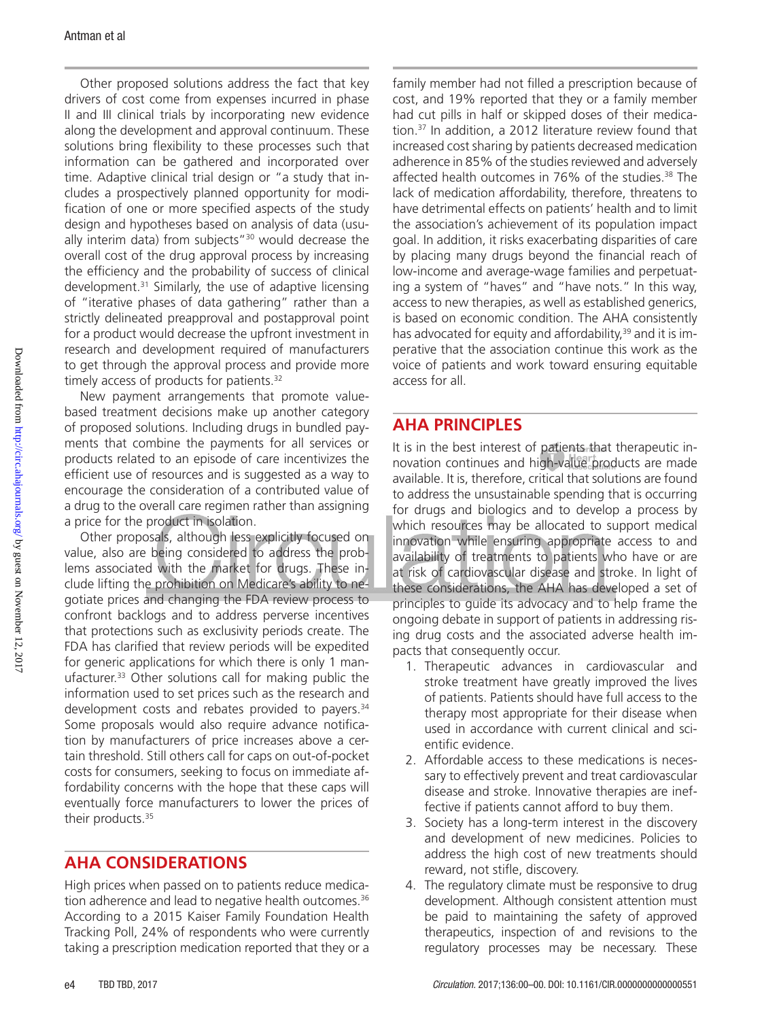Other proposed solutions address the fact that key drivers of cost come from expenses incurred in phase II and III clinical trials by incorporating new evidence along the development and approval continuum. These solutions bring flexibility to these processes such that information can be gathered and incorporated over time. Adaptive clinical trial design or "a study that includes a prospectively planned opportunity for modification of one or more specified aspects of the study design and hypotheses based on analysis of data (usually interim data) from subjects"<sup>30</sup> would decrease the overall cost of the drug approval process by increasing the efficiency and the probability of success of clinical development.31 Similarly, the use of adaptive licensing of "iterative phases of data gathering" rather than a strictly delineated preapproval and postapproval point for a product would decrease the upfront investment in research and development required of manufacturers to get through the approval process and provide more timely access of products for patients.<sup>32</sup>

New payment arrangements that promote valuebased treatment decisions make up another category of proposed solutions. Including drugs in bundled payments that combine the payments for all services or products related to an episode of care incentivizes the efficient use of resources and is suggested as a way to encourage the consideration of a contributed value of a drug to the overall care regimen rather than assigning a price for the product in isolation.

Other proposals, although less explicitly focused on value, also are being considered to address the problems associated with the market for drugs. These include lifting the prohibition on Medicare's ability to negotiate prices and changing the FDA review process to confront backlogs and to address perverse incentives that protections such as exclusivity periods create. The FDA has clarified that review periods will be expedited for generic applications for which there is only 1 manufacturer.33 Other solutions call for making public the information used to set prices such as the research and development costs and rebates provided to payers.<sup>34</sup> Some proposals would also require advance notification by manufacturers of price increases above a certain threshold. Still others call for caps on out-of-pocket costs for consumers, seeking to focus on immediate affordability concerns with the hope that these caps will eventually force manufacturers to lower the prices of their products.<sup>35</sup>

## **AHA CONSIDERATIONS**

High prices when passed on to patients reduce medication adherence and lead to negative health outcomes.<sup>36</sup> According to a 2015 Kaiser Family Foundation Health Tracking Poll, 24% of respondents who were currently taking a prescription medication reported that they or a

family member had not filled a prescription because of cost, and 19% reported that they or a family member had cut pills in half or skipped doses of their medication.37 In addition, a 2012 literature review found that increased cost sharing by patients decreased medication adherence in 85% of the studies reviewed and adversely affected health outcomes in 76% of the studies.<sup>38</sup> The lack of medication affordability, therefore, threatens to have detrimental effects on patients' health and to limit the association's achievement of its population impact goal. In addition, it risks exacerbating disparities of care by placing many drugs beyond the financial reach of low-income and average-wage families and perpetuating a system of "haves" and "have nots." In this way, access to new therapies, as well as established generics, is based on economic condition. The AHA consistently has advocated for equity and affordability,<sup>39</sup> and it is imperative that the association continue this work as the voice of patients and work toward ensuring equitable access for all.

# **AHA PRINCIPLES**

It is in the best interest of patients that therapeutic innovation continues and high-value products are made available. It is, therefore, critical that solutions are found to address the unsustainable spending that is occurring for drugs and biologics and to develop a process by which resources may be allocated to support medical innovation while ensuring appropriate access to and availability of treatments to patients who have or are at risk of cardiovascular disease and stroke. In light of these considerations, the AHA has developed a set of principles to guide its advocacy and to help frame the ongoing debate in support of patients in addressing rising drug costs and the associated adverse health impacts that consequently occur.

- 1. Therapeutic advances in cardiovascular and stroke treatment have greatly improved the lives of patients. Patients should have full access to the therapy most appropriate for their disease when used in accordance with current clinical and scientific evidence.
- 2. Affordable access to these medications is necessary to effectively prevent and treat cardiovascular disease and stroke. Innovative therapies are ineffective if patients cannot afford to buy them.
- 3. Society has a long-term interest in the discovery and development of new medicines. Policies to address the high cost of new treatments should reward, not stifle, discovery.
- 4. The regulatory climate must be responsive to drug development. Although consistent attention must be paid to maintaining the safety of approved therapeutics, inspection of and revisions to the regulatory processes may be necessary. These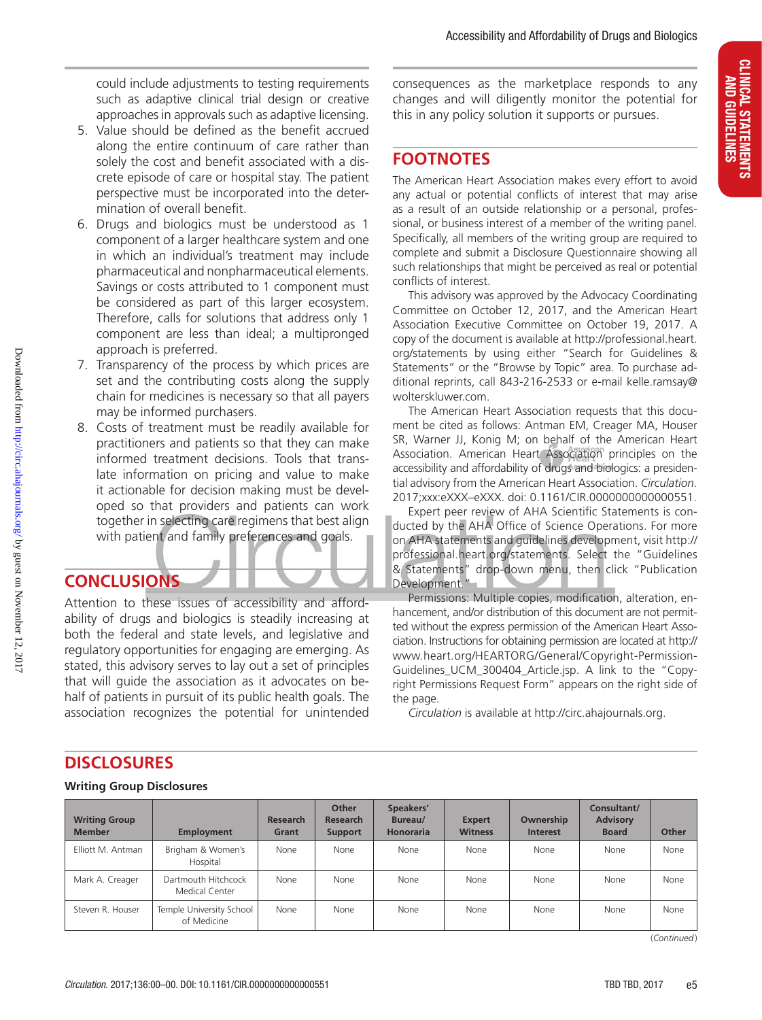could include adjustments to testing requirements such as adaptive clinical trial design or creative approaches in approvals such as adaptive licensing.

- 5. Value should be defined as the benefit accrued along the entire continuum of care rather than solely the cost and benefit associated with a discrete episode of care or hospital stay. The patient perspective must be incorporated into the determination of overall benefit.
- 6. Drugs and biologics must be understood as 1 component of a larger healthcare system and one in which an individual's treatment may include pharmaceutical and nonpharmaceutical elements. Savings or costs attributed to 1 component must be considered as part of this larger ecosystem. Therefore, calls for solutions that address only 1 component are less than ideal; a multipronged approach is preferred.
- 7. Transparency of the process by which prices are set and the contributing costs along the supply chain for medicines is necessary so that all payers may be informed purchasers.
- 8. Costs of treatment must be readily available for practitioners and patients so that they can make informed treatment decisions. Tools that translate information on pricing and value to make it actionable for decision making must be developed so that providers and patients can work together in selecting care regimens that best align with patient and family preferences and goals.

# **CONCLUSIONS**

Attention to these issues of accessibility and affordability of drugs and biologics is steadily increasing at both the federal and state levels, and legislative and regulatory opportunities for engaging are emerging. As stated, this advisory serves to lay out a set of principles that will guide the association as it advocates on behalf of patients in pursuit of its public health goals. The association recognizes the potential for unintended consequences as the marketplace responds to any changes and will diligently monitor the potential for this in any policy solution it supports or pursues.

# **FOOTNOTES**

The American Heart Association makes every effort to avoid any actual or potential conflicts of interest that may arise as a result of an outside relationship or a personal, professional, or business interest of a member of the writing panel. Specifically, all members of the writing group are required to complete and submit a Disclosure Questionnaire showing all such relationships that might be perceived as real or potential conflicts of interest.

This advisory was approved by the Advocacy Coordinating Committee on October 12, 2017, and the American Heart Association Executive Committee on October 19, 2017. A copy of the document is available at http://professional.heart. org/statements by using either "Search for Guidelines & Statements" or the "Browse by Topic" area. To purchase additional reprints, call 843-216-2533 or e-mail [kelle.ramsay@](mailto:kelle.ramsay@wolterskluwer.com) [wolterskluwer.com.](mailto:kelle.ramsay@wolterskluwer.com)

The American Heart Association requests that this document be cited as follows: Antman EM, Creager MA, Houser SR, Warner JJ, Konig M; on behalf of the American Heart Association. American Heart Association principles on the accessibility and affordability of drugs and biologics: a presidential advisory from the American Heart Association. *Circulation.* 2017;xxx:eXXX–eXXX. doi: 0.1161/CIR.0000000000000551.

Expert peer review of AHA Scientific Statements is conducted by the AHA Office of Science Operations. For more on AHA statements and guidelines development, visit http:// professional.heart.org/statements. Select the "Guidelines & Statements" drop-down menu, then click "Publication Development."

Permissions: Multiple copies, modification, alteration, enhancement, and/or distribution of this document are not permitted without the express permission of the American Heart Association. Instructions for obtaining permission are located at http:// www.heart.org/HEARTORG/General/Copyright-Permission-Guidelines\_UCM\_300404\_Article.jsp. A link to the "Copyright Permissions Request Form" appears on the right side of the page.

*Circulation* is available at http://circ.ahajournals.org.

# **DISCLOSURES**

#### **Writing Group Disclosures**

| <b>Writing Group</b><br><b>Member</b> | Employment                              | Research<br>Grant | Other<br>Research<br><b>Support</b> | Speakers'<br>Bureau/<br><b>Honoraria</b> | <b>Expert</b><br><b>Witness</b> | Ownership<br><b>Interest</b> | Consultant/<br><b>Advisory</b><br><b>Board</b> | Other |
|---------------------------------------|-----------------------------------------|-------------------|-------------------------------------|------------------------------------------|---------------------------------|------------------------------|------------------------------------------------|-------|
| Elliott M. Antman                     | Brigham & Women's<br>Hospital           | None              | None                                | None                                     | None                            | None                         | None                                           | None  |
| Mark A. Creager                       | Dartmouth Hitchcock<br>Medical Center   | None              | None                                | None                                     | None                            | None                         | None                                           | None  |
| Steven R. Houser                      | Temple University School<br>of Medicine | None              | None                                | None                                     | None                            | None                         | None                                           | None  |

(*Continued*)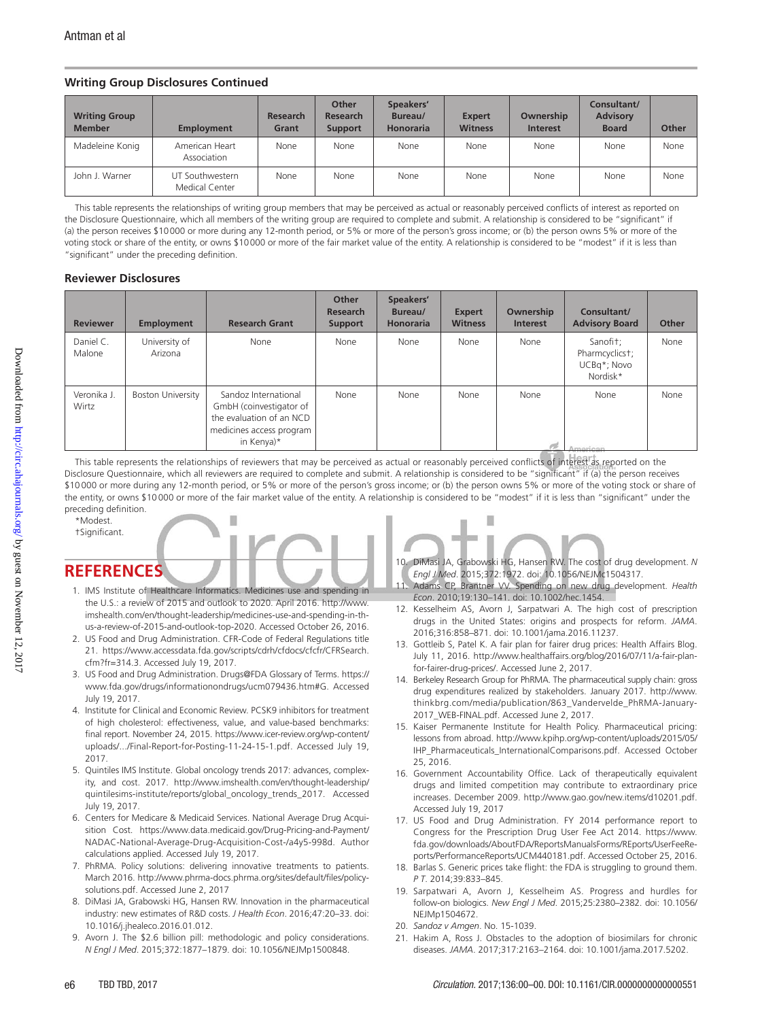#### **Writing Group Disclosures Continued**

| <b>Writing Group</b><br><b>Member</b> | Employment                        | Research<br>Grant | Other<br>Research<br><b>Support</b> | Speakers'<br>Bureau/<br><b>Honoraria</b> | <b>Expert</b><br><b>Witness</b> | Ownership<br><b>Interest</b> | Consultant/<br><b>Advisory</b><br><b>Board</b> | Other |
|---------------------------------------|-----------------------------------|-------------------|-------------------------------------|------------------------------------------|---------------------------------|------------------------------|------------------------------------------------|-------|
| Madeleine Konig                       | American Heart<br>Association     | None              | None                                | None                                     | None                            | None                         | None                                           | None  |
| John J. Warner                        | UT Southwestern<br>Medical Center | None              | None                                | None                                     | None                            | None                         | None                                           | None  |

This table represents the relationships of writing group members that may be perceived as actual or reasonably perceived conflicts of interest as reported on the Disclosure Questionnaire, which all members of the writing group are required to complete and submit. A relationship is considered to be "significant" if (a) the person receives \$10000 or more during any 12-month period, or 5% or more of the person's gross income; or (b) the person owns 5% or more of the voting stock or share of the entity, or owns \$10000 or more of the fair market value of the entity. A relationship is considered to be "modest" if it is less than "significant" under the preceding definition.

#### **Reviewer Disclosures**

| <b>Reviewer</b>      | Employment               | <b>Research Grant</b>                                                                                                 | Other<br>Research<br><b>Support</b> | Speakers'<br>Bureau/<br><b>Honoraria</b> | <b>Expert</b><br><b>Witness</b> | Ownership<br><b>Interest</b> | Consultant/<br><b>Advisory Board</b>                  | Other |
|----------------------|--------------------------|-----------------------------------------------------------------------------------------------------------------------|-------------------------------------|------------------------------------------|---------------------------------|------------------------------|-------------------------------------------------------|-------|
| Daniel C.<br>Malone  | University of<br>Arizona | None                                                                                                                  | None                                | None                                     | None                            | None                         | Sanofit:<br>Pharmcyclicst;<br>UCBq*; Novo<br>Nordisk* | None  |
| Veronika J.<br>Wirtz | <b>Boston University</b> | Sandoz International<br>GmbH (coinvestigator of<br>the evaluation of an NCD<br>medicines access program<br>in Kenya)* | None                                | None                                     | None                            | None                         | None<br>American                                      | None  |

This table represents the relationships of reviewers that may be perceived as actual or reasonably perceived conflicts of interest as reported on the Disclosure Questionnaire, which all reviewers are required to complete and submit. A relationship is considered to be "significant" if (a) the person receives \$10 000 or more during any 12-month period, or 5% or more of the person's gross income; or (b) the person owns 5% or more of the voting stock or share of the entity, or owns \$10 000 or more of the fair market value of the entity. A relationship is considered to be "modest" if it is less than "significant" under the preceding definition.

\*Modest. †Significant.

# **REFERENCES**

- 1. IMS Institute of Healthcare Informatics. Medicines use and spending in the U.S.: a review of 2015 and outlook to 2020. April 2016. http://www. imshealth.com/en/thought-leadership/medicines-use-and-spending-in-thus-a-review-of-2015-and-outlook-top-2020. Accessed October 26, 2016.
- 2. US Food and Drug Administration. CFR-Code of Federal Regulations title 21. https://www.accessdata.fda.gov/scripts/cdrh/cfdocs/cfcfr/CFRSearch. cfm?fr=314.3. Accessed July 19, 2017.
- 3. US Food and Drug Administration. Drugs@FDA Glossary of Terms. https:// www.fda.gov/drugs/informationondrugs/ucm079436.htm#G. Accessed July 19, 2017.
- 4. Institute for Clinical and Economic Review. PCSK9 inhibitors for treatment of high cholesterol: effectiveness, value, and value-based benchmarks: final report. November 24, 2015. https://www.icer-review.org/wp-content/ uploads/.../Final-Report-for-Posting-11-24-15-1.pdf. Accessed July 19, 2017.
- 5. Quintiles IMS Institute. Global oncology trends 2017: advances, complexity, and cost. 2017. http://www.imshealth.com/en/thought-leadership/ quintilesims-institute/reports/global\_oncology\_trends\_2017. Accessed July 19, 2017.
- 6. Centers for Medicare & Medicaid Services. National Average Drug Acquisition Cost. https://www.data.medicaid.gov/Drug-Pricing-and-Payment/ NADAC-National-Average-Drug-Acquisition-Cost-/a4y5-998d. Author calculations applied. Accessed July 19, 2017.
- 7. PhRMA. Policy solutions: delivering innovative treatments to patients. March 2016. http://www.phrma-docs.phrma.org/sites/default/files/policysolutions.pdf. Accessed June 2, 2017
- 8. DiMasi JA, Grabowski HG, Hansen RW. Innovation in the pharmaceutical industry: new estimates of R&D costs. *J Health Econ*. 2016;47:20–33. doi: 10.1016/j.jhealeco.2016.01.012.
- 9. Avorn J. The \$2.6 billion pill: methodologic and policy considerations. *N Engl J Med*. 2015;372:1877–1879. doi: 10.1056/NEJMp1500848.
- 10. DiMasi JA, Grabowski HG, Hansen RW. The cost of drug development. *N Engl J Med*. 2015;372:1972. doi: 10.1056/NEJMc1504317.
- 11. Adams CP, Brantner VV. Spending on new drug development. *Health Econ*. 2010;19:130–141. doi: 10.1002/hec.1454.
- 12. Kesselheim AS, Avorn J, Sarpatwari A. The high cost of prescription drugs in the United States: origins and prospects for reform. *JAMA*. 2016;316:858–871. doi: 10.1001/jama.2016.11237.
- 13. Gottleib S, Patel K. A fair plan for fairer drug prices: Health Affairs Blog. July 11, 2016. http://www.healthaffairs.org/blog/2016/07/11/a-fair-planfor-fairer-drug-prices/. Accessed June 2, 2017.
- 14. Berkeley Research Group for PhRMA. The pharmaceutical supply chain: gross drug expenditures realized by stakeholders. January 2017. http://www. thinkbrg.com/media/publication/863\_Vandervelde\_PhRMA-January-2017\_WEB-FINAL.pdf. Accessed June 2, 2017.
- 15. Kaiser Permanente Institute for Health Policy. Pharmaceutical pricing: lessons from abroad. http://www.kpihp.org/wp-content/uploads/2015/05/ IHP\_Pharmaceuticals\_InternationalComparisons.pdf. Accessed October 25, 2016.
- 16. Government Accountability Office. Lack of therapeutically equivalent drugs and limited competition may contribute to extraordinary price increases. December 2009. http://www.gao.gov/new.items/d10201.pdf. Accessed July 19, 2017
- 17. US Food and Drug Administration. FY 2014 performance report to Congress for the Prescription Drug User Fee Act 2014. https://www. fda.gov/downloads/AboutFDA/ReportsManualsForms/REports/UserFeeReports/PerformanceReports/UCM440181.pdf. Accessed October 25, 2016.
- 18. Barlas S. Generic prices take flight: the FDA is struggling to ground them. *P T*. 2014;39:833–845.
- 19. Sarpatwari A, Avorn J, Kesselheim AS. Progress and hurdles for follow-on biologics. *New Engl J Med*. 2015;25:2380–2382. doi: 10.1056/ NEJMp1504672.
- 20. *Sandoz v Amgen*. No. 15-1039.
- 21. Hakim A, Ross J. Obstacles to the adoption of biosimilars for chronic diseases. *JAMA*. 2017;317:2163–2164. doi: 10.1001/jama.2017.5202.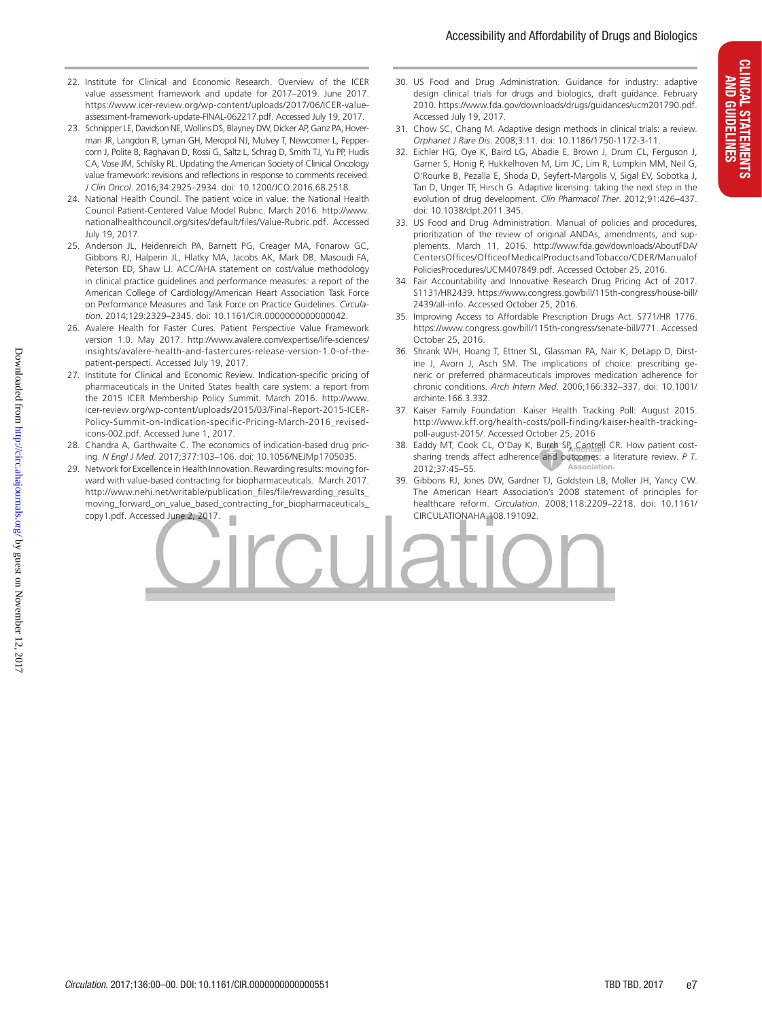- 22. Institute for Clinical and Economic Research. Overview of the ICER value assessment framework and update for 2017–2019. June 2017. https://www.icer-review.org/wp-content/uploads/2017/06/ICER-valueassessment-framework-update-FINAL-062217.pdf. Accessed July 19, 2017.
- 23. Schnipper LE, Davidson NE, Wollins DS, Blayney DW, Dicker AP, Ganz PA, Hoverman JR, Langdon R, Lyman GH, Meropol NJ, Mulvey T, Newcomer L, Peppercorn J, Polite B, Raghavan D, Rossi G, Saltz L, Schrag D, Smith TJ, Yu PP, Hudis CA, Vose JM, Schilsky RL. Updating the American Society of Clinical Oncology value framework: revisions and reflections in response to comments received. *J Clin Oncol*. 2016;34:2925–2934. doi: 10.1200/JCO.2016.68.2518.
- 24. National Health Council. The patient voice in value: the National Health Council Patient-Centered Value Model Rubric. March 2016. http://www. nationalhealthcouncil.org/sites/default/files/Value-Rubric.pdf. Accessed July 19, 2017.
- 25. Anderson JL, Heidenreich PA, Barnett PG, Creager MA, Fonarow GC, Gibbons RJ, Halperin JL, Hlatky MA, Jacobs AK, Mark DB, Masoudi FA, Peterson ED, Shaw LJ. ACC/AHA statement on cost/value methodology in clinical practice guidelines and performance measures: a report of the American College of Cardiology/American Heart Association Task Force on Performance Measures and Task Force on Practice Guidelines. *Circulation*. 2014;129:2329–2345. doi: 10.1161/CIR.0000000000000042.
- 26. Avalere Health for Faster Cures. Patient Perspective Value Framework version 1.0. May 2017. http://www.avalere.com/expertise/life-sciences/ insights/avalere-health-and-fastercures-release-version-1.0-of-thepatient-perspecti. Accessed July 19, 2017.
- 27. Institute for Clinical and Economic Review. Indication-specific pricing of pharmaceuticals in the United States health care system: a report from the 2015 ICER Membership Policy Summit. March 2016. http://www. icer-review.org/wp-content/uploads/2015/03/Final-Report-2015-ICER-Policy-Summit-on-Indication-specific-Pricing-March-2016\_revisedicons-002.pdf. Accessed June 1, 2017.
- 28. Chandra A, Garthwaite C. The economics of indication-based drug pricing. *N Engl J Med*. 2017;377:103–106. doi: 10.1056/NEJMp1705035.
- 29. Network for Excellence in Health Innovation. Rewarding results: moving forward with value-based contracting for biopharmaceuticals. March 2017. http://www.nehi.net/writable/publication\_files/file/rewarding\_results\_ moving\_forward\_on\_value\_based\_contracting\_for\_biopharmaceuticals\_ copy1.pdf. Accessed June 2, 2017.
- 30. US Food and Drug Administration. Guidance for industry: adaptive design clinical trials for drugs and biologics, draft guidance. February 2010. https://www.fda.gov/downloads/drugs/guidances/ucm201790.pdf. Accessed July 19, 2017.
- 31. Chow SC, Chang M. Adaptive design methods in clinical trials: a review. *Orphanet J Rare Dis*. 2008;3:11. doi: 10.1186/1750-1172-3-11.
- 32. Eichler HG, Oye K, Baird LG, Abadie E, Brown J, Drum CL, Ferguson J, Garner S, Honig P, Hukkelhoven M, Lim JC, Lim R, Lumpkin MM, Neil G, O'Rourke B, Pezalla E, Shoda D, Seyfert-Margolis V, Sigal EV, Sobotka J, Tan D, Unger TF, Hirsch G. Adaptive licensing: taking the next step in the evolution of drug development. *Clin Pharmacol Ther*. 2012;91:426–437. doi: 10.1038/clpt.2011.345.
- 33. US Food and Drug Administration. Manual of policies and procedures, prioritization of the review of original ANDAs, amendments, and supplements. March 11, 2016. http://www.fda.gov/downloads/AboutFDA/ CentersOffices/OfficeofMedicalProductsandTobacco/CDER/Manualof PoliciesProcedures/UCM407849.pdf. Accessed October 25, 2016.
- 34. Fair Accountability and Innovative Research Drug Pricing Act of 2017. S1131/HR2439. https://www.congress.gov/bill/115th-congress/house-bill/ 2439/all-info. Accessed October 25, 2016.
- 35. Improving Access to Affordable Prescription Drugs Act. S771/HR 1776. https://www.congress.gov/bill/115th-congress/senate-bill/771. Accessed October 25, 2016.
- 36. Shrank WH, Hoang T, Ettner SL, Glassman PA, Nair K, DeLapp D, Dirstine J, Avorn J, Asch SM. The implications of choice: prescribing generic or preferred pharmaceuticals improves medication adherence for chronic conditions. *Arch Intern Med*. 2006;166:332–337. doi: 10.1001/ archinte.166.3.332.
- 37. Kaiser Family Foundation. Kaiser Health Tracking Poll: August 2015. http://www.kff.org/health-costs/poll-finding/kaiser-health-trackingpoll-august-2015/. Accessed October 25, 2016
- 38. Eaddy MT, Cook CL, O'Day K, Burch SP, Cantrell CR. How patient costsharing trends affect adherence and outcomes: a literature review. *P T*. 2012;37:45–55. Associatio
- 39. Gibbons RJ, Jones DW, Gardner TJ, Goldstein LB, Moller JH, Yancy CW. The American Heart Association's 2008 statement of principles for healthcare reform. *Circulation*. 2008;118:2209–2218. doi: 10.1161/ CIRCULATIONAHA.108.191092.